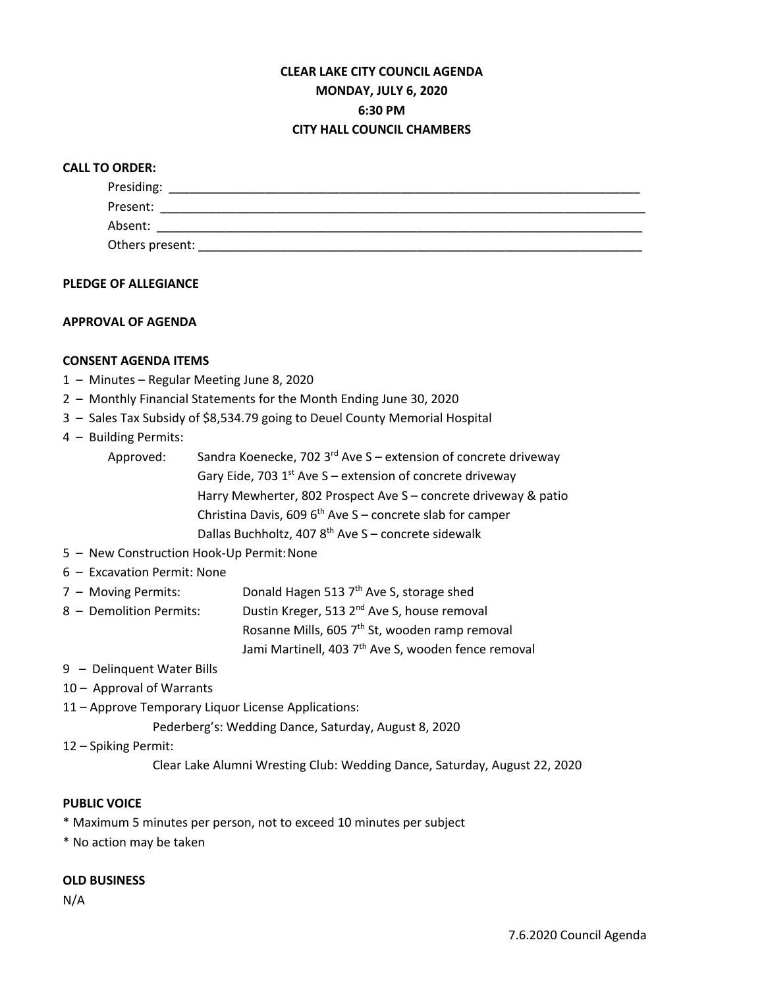# **CLEAR LAKE CITY COUNCIL AGENDA MONDAY, JULY 6, 2020 6:30 PM CITY HALL COUNCIL CHAMBERS**

## **CALL TO ORDER:**

| Presiding:      |  |
|-----------------|--|
| Present:        |  |
| Absent:         |  |
| Others present: |  |

## **PLEDGE OF ALLEGIANCE**

## **APPROVAL OF AGENDA**

## **CONSENT AGENDA ITEMS**

- 1 Minutes Regular Meeting June 8, 2020
- 2 Monthly Financial Statements for the Month Ending June 30, 2020
- 3 Sales Tax Subsidy of \$8,534.79 going to Deuel County Memorial Hospital

## 4 – Building Permits:

- Approved: Sandra Koenecke, 702  $3^{rd}$  Ave S extension of concrete driveway Gary Eide, 703  $1<sup>st</sup>$  Ave S – extension of concrete driveway Harry Mewherter, 802 Prospect Ave S – concrete driveway & patio Christina Davis, 609  $6<sup>th</sup>$  Ave S – concrete slab for camper Dallas Buchholtz, 407  $8<sup>th</sup>$  Ave S – concrete sidewalk
- 5 New Construction Hook-Up Permit:None
- 6 Excavation Permit: None
- 7 Moving Permits: Donald Hagen 513  $7<sup>th</sup>$  Ave S, storage shed
- 8 Demolition Permits: Dustin Kreger, 513  $2^{nd}$  Ave S, house removal

Rosanne Mills, 605 7<sup>th</sup> St, wooden ramp removal Jami Martinell, 403 7<sup>th</sup> Ave S, wooden fence removal

- 9 Delinquent Water Bills
- 10 Approval of Warrants
- 11 Approve Temporary Liquor License Applications:

Pederberg's: Wedding Dance, Saturday, August 8, 2020

```
12 – Spiking Permit:
```
Clear Lake Alumni Wresting Club: Wedding Dance, Saturday, August 22, 2020

#### **PUBLIC VOICE**

- \* Maximum 5 minutes per person, not to exceed 10 minutes per subject
- \* No action may be taken

#### **OLD BUSINESS**

N/A